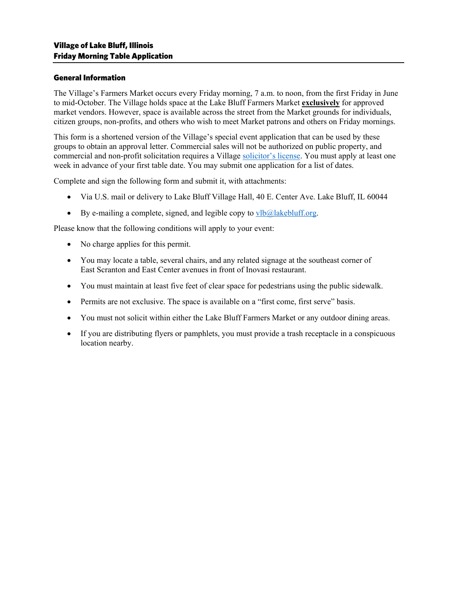# General Information

The Village's Farmers Market occurs every Friday morning, 7 a.m. to noon, from the first Friday in June to mid-October. The Village holds space at the Lake Bluff Farmers Market **exclusively** for approved market vendors. However, space is available across the street from the Market grounds for individuals, citizen groups, non-profits, and others who wish to meet Market patrons and others on Friday mornings.

This form is a shortened version of the Village's special event application that can be used by these groups to obtain an approval letter. Commercial sales will not be authorized on public property, and commercial and non-profit solicitation requires a Village [solicitor's license.](https://www.lakebluff.org/sitemedia/documents/Solicitation_Application-NEW_LOGO.pdf) You must apply at least one week in advance of your first table date. You may submit one application for a list of dates.

Complete and sign the following form and submit it, with attachments:

- Via U.S. mail or delivery to Lake Bluff Village Hall, 40 E. Center Ave. Lake Bluff, IL 60044
- By e-mailing a complete, signed, and legible copy to  $vlb@$  lakebluff.org.

Please know that the following conditions will apply to your event:

- No charge applies for this permit.
- You may locate a table, several chairs, and any related signage at the southeast corner of East Scranton and East Center avenues in front of Inovasi restaurant.
- You must maintain at least five feet of clear space for pedestrians using the public sidewalk.
- Permits are not exclusive. The space is available on a "first come, first serve" basis.
- You must not solicit within either the Lake Bluff Farmers Market or any outdoor dining areas.
- If you are distributing flyers or pamphlets, you must provide a trash receptacle in a conspicuous location nearby.